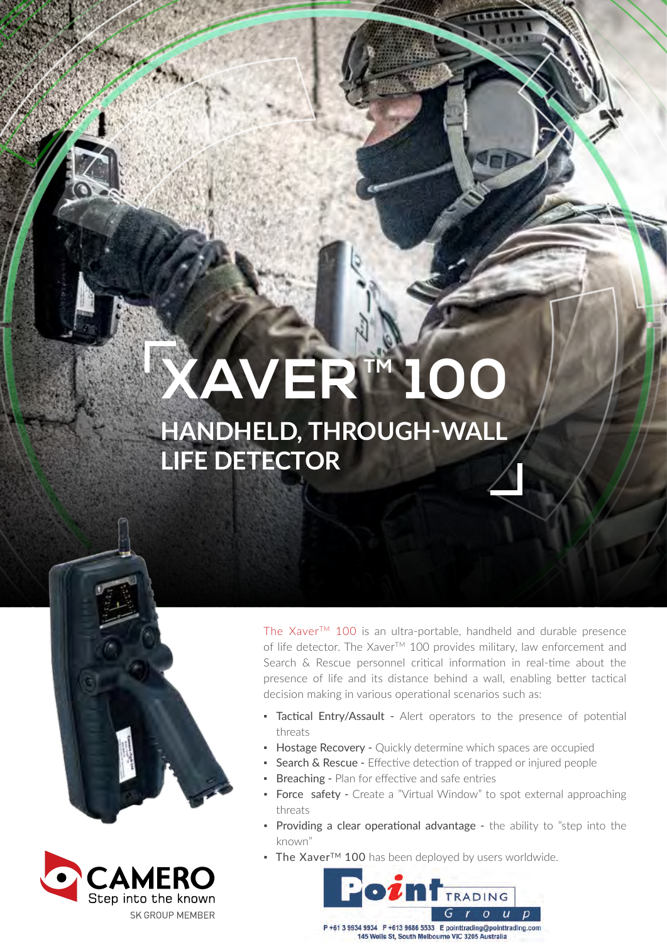# **XAVERTM 100**

### **HANDHELD, THROUGH-WALL LIFE DETECTOR**





The Xaver™ 100 is an ultra-portable, handheld and durable presence of life detector. The Xaver™ 100 provides military, law enforcement and Search & Rescue personnel critical information in real-time about the presence of life and its distance behind a wall, enabling better tactical decision making in various operational scenarios such as:

- **· Tactical Entry/Assault** Alert operators to the presence of potential threats
- **Hostage Recovery -** Quickly determine which spaces are occupied
- **Search & Rescue -** Effective detection of trapped or injured people
- **Breaching Plan for effective and safe entries**
- Force safety Create a "Virtual Window" to spot external approaching threats
- Providing a clear operational advantage the ability to "step into the known"
- The Xaver<sup>TM</sup> 100 has been deployed by users worldwide.